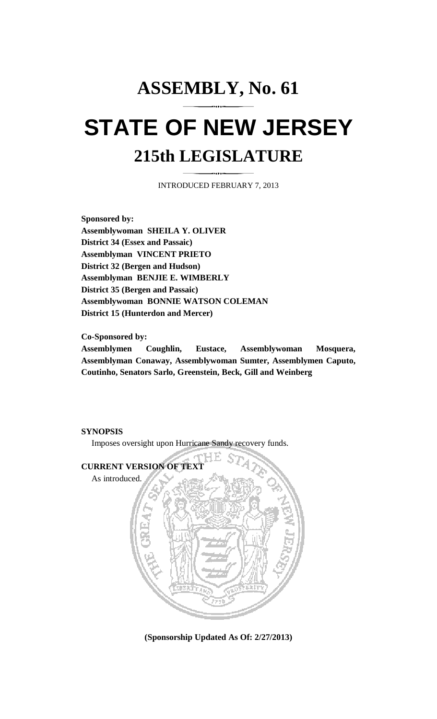## **ASSEMBLY, No. 61 STATE OF NEW JERSEY 215th LEGISLATURE**

INTRODUCED FEBRUARY 7, 2013

**Sponsored by: Assemblywoman SHEILA Y. OLIVER District 34 (Essex and Passaic) Assemblyman VINCENT PRIETO District 32 (Bergen and Hudson) Assemblyman BENJIE E. WIMBERLY District 35 (Bergen and Passaic) Assemblywoman BONNIE WATSON COLEMAN District 15 (Hunterdon and Mercer)** 

**Co-Sponsored by:** 

**Assemblymen Coughlin, Eustace, Assemblywoman Mosquera, Assemblyman Conaway, Assemblywoman Sumter, Assemblymen Caputo, Coutinho, Senators Sarlo, Greenstein, Beck, Gill and Weinberg** 

## **SYNOPSIS**

Imposes oversight upon Hurricane Sandy recovery funds.







**(Sponsorship Updated As Of: 2/27/2013)**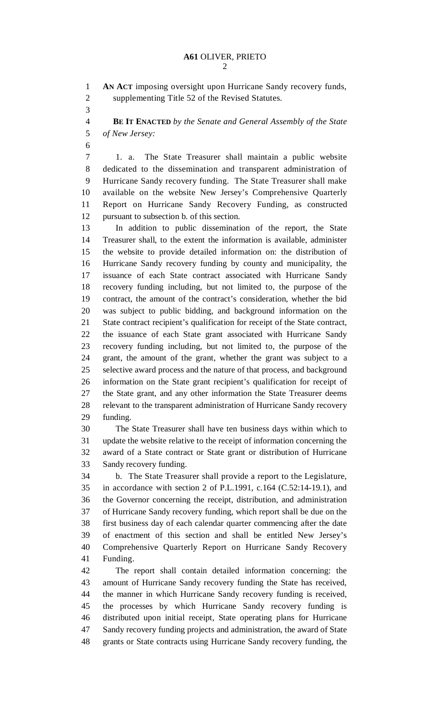2

1 **AN ACT** imposing oversight upon Hurricane Sandy recovery funds,

2 supplementing Title 52 of the Revised Statutes. 3 4 **BE IT ENACTED** *by the Senate and General Assembly of the State*  5 *of New Jersey:* 6 7 1. a. The State Treasurer shall maintain a public website 8 dedicated to the dissemination and transparent administration of 9 Hurricane Sandy recovery funding. The State Treasurer shall make 10 available on the website New Jersey's Comprehensive Quarterly 11 Report on Hurricane Sandy Recovery Funding, as constructed 12 pursuant to subsection b. of this section. 13 In addition to public dissemination of the report, the State 14 Treasurer shall, to the extent the information is available, administer 15 the website to provide detailed information on: the distribution of 16 Hurricane Sandy recovery funding by county and municipality, the 17 issuance of each State contract associated with Hurricane Sandy 18 recovery funding including, but not limited to, the purpose of the 19 contract, the amount of the contract's consideration, whether the bid 20 was subject to public bidding, and background information on the 21 State contract recipient's qualification for receipt of the State contract, 22 the issuance of each State grant associated with Hurricane Sandy 23 recovery funding including, but not limited to, the purpose of the 24 grant, the amount of the grant, whether the grant was subject to a 25 selective award process and the nature of that process, and background 26 information on the State grant recipient's qualification for receipt of 27 the State grant, and any other information the State Treasurer deems 28 relevant to the transparent administration of Hurricane Sandy recovery 29 funding. 30 The State Treasurer shall have ten business days within which to 31 update the website relative to the receipt of information concerning the 32 award of a State contract or State grant or distribution of Hurricane 33 Sandy recovery funding. 34 b. The State Treasurer shall provide a report to the Legislature, 35 in accordance with section 2 of P.L.1991, c.164 (C.52:14-19.1), and 36 the Governor concerning the receipt, distribution, and administration 37 of Hurricane Sandy recovery funding, which report shall be due on the 38 first business day of each calendar quarter commencing after the date 39 of enactment of this section and shall be entitled New Jersey's 40 Comprehensive Quarterly Report on Hurricane Sandy Recovery 41 Funding. 42 The report shall contain detailed information concerning: the 43 amount of Hurricane Sandy recovery funding the State has received, 44 the manner in which Hurricane Sandy recovery funding is received, 45 the processes by which Hurricane Sandy recovery funding is 46 distributed upon initial receipt, State operating plans for Hurricane 47 Sandy recovery funding projects and administration, the award of State 48 grants or State contracts using Hurricane Sandy recovery funding, the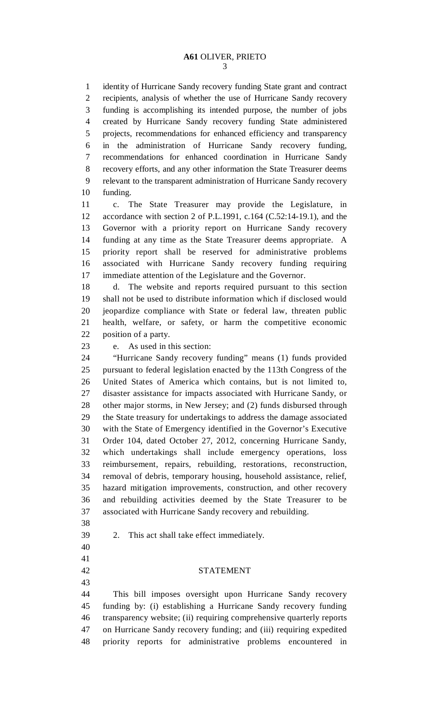3

1 identity of Hurricane Sandy recovery funding State grant and contract 2 recipients, analysis of whether the use of Hurricane Sandy recovery 3 funding is accomplishing its intended purpose, the number of jobs 4 created by Hurricane Sandy recovery funding State administered 5 projects, recommendations for enhanced efficiency and transparency 6 in the administration of Hurricane Sandy recovery funding, 7 recommendations for enhanced coordination in Hurricane Sandy 8 recovery efforts, and any other information the State Treasurer deems 9 relevant to the transparent administration of Hurricane Sandy recovery 10 funding.

11 c. The State Treasurer may provide the Legislature, in 12 accordance with section 2 of P.L.1991, c.164 (C.52:14-19.1), and the 13 Governor with a priority report on Hurricane Sandy recovery 14 funding at any time as the State Treasurer deems appropriate. A 15 priority report shall be reserved for administrative problems 16 associated with Hurricane Sandy recovery funding requiring 17 immediate attention of the Legislature and the Governor.

18 d. The website and reports required pursuant to this section 19 shall not be used to distribute information which if disclosed would 20 jeopardize compliance with State or federal law, threaten public 21 health, welfare, or safety, or harm the competitive economic 22 position of a party.

23 e. As used in this section:

24 "Hurricane Sandy recovery funding" means (1) funds provided 25 pursuant to federal legislation enacted by the 113th Congress of the 26 United States of America which contains, but is not limited to, 27 disaster assistance for impacts associated with Hurricane Sandy, or 28 other major storms, in New Jersey; and (2) funds disbursed through 29 the State treasury for undertakings to address the damage associated 30 with the State of Emergency identified in the Governor's Executive 31 Order 104, dated October 27, 2012, concerning Hurricane Sandy, 32 which undertakings shall include emergency operations, loss 33 reimbursement, repairs, rebuilding, restorations, reconstruction, 34 removal of debris, temporary housing, household assistance, relief, 35 hazard mitigation improvements, construction, and other recovery 36 and rebuilding activities deemed by the State Treasurer to be 37 associated with Hurricane Sandy recovery and rebuilding.

38

39 2. This act shall take effect immediately.

40 41

43

## 42 STATEMENT

44 This bill imposes oversight upon Hurricane Sandy recovery 45 funding by: (i) establishing a Hurricane Sandy recovery funding 46 transparency website; (ii) requiring comprehensive quarterly reports 47 on Hurricane Sandy recovery funding; and (iii) requiring expedited 48 priority reports for administrative problems encountered in